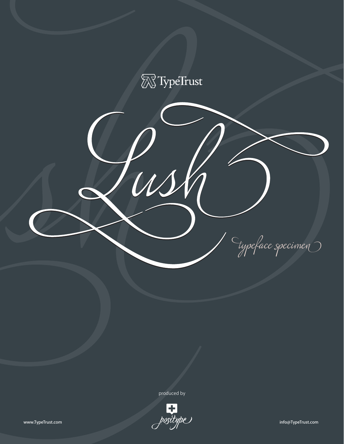

produced by

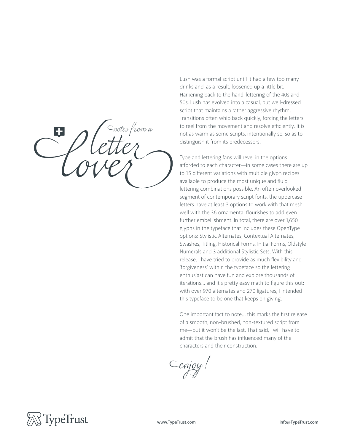*notes a*

Lush was a formal script until it had a few too many drinks and, as a result, loosened up a little bit. Harkening back to the hand-lettering of the 40s and 50s, Lush has evolved into a casual, but well-dressed script that maintains a rather aggressive rhythm. Transitions often whip back quickly, forcing the letters to reel from the movement and resolve efficiently. It is not as warm as some scripts, intentionally so, so as to distinguish it from its predecessors.

Type and lettering fans will revel in the options afforded to each character-in some cases there are up to 15 different variations with multiple glyph recipes available to produce the most unique and fluid lettering combinations possible. An often overlooked segment of contemporary script fonts, the uppercase letters have at least 3 options to work with that mesh well with the 36 ornamental flourishes to add even further embellishment. In total, there are over 1,650 glyphs in the typeface that includes these OpenType options: Stylistic Alternates, Contextual Alternates, Swashes, Titling, Historical Forms, Initial Forms, Oldstyle Numerals and 3 additional Stylistic Sets. With this release, I have tried to provide as much flexibility and 'forgiveness' within the typeface so the lettering enthusiast can have fun and explore thousands of iterations... and it's pretty easy math to figure this out: with over 970 alternates and 270 ligatures, I intended this typeface to be one that keeps on giving.

One important fact to note... this marks the first release of a smooth, non-brushed, non-textured script from me—but it won't be the last. That said, I will have to admit that the brush has influenced many of the characters and their construction.

Cenjoy!

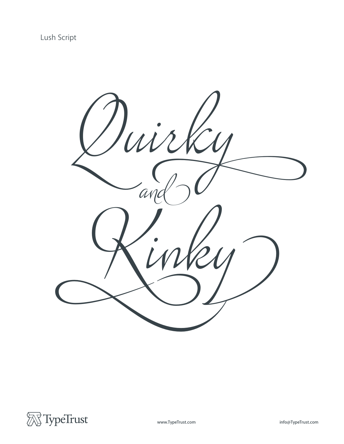

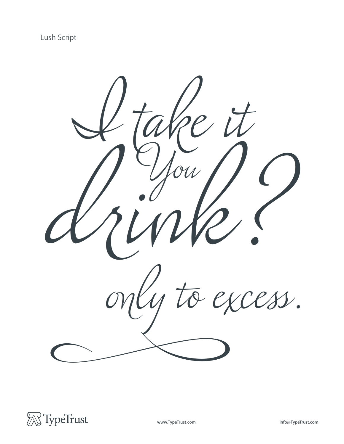

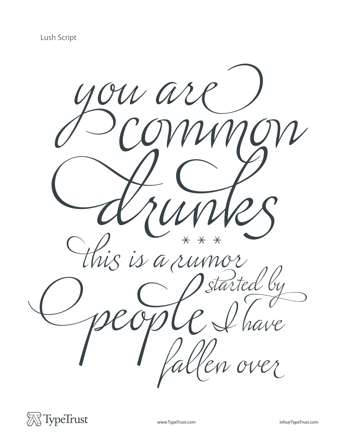

![](_page_4_Picture_2.jpeg)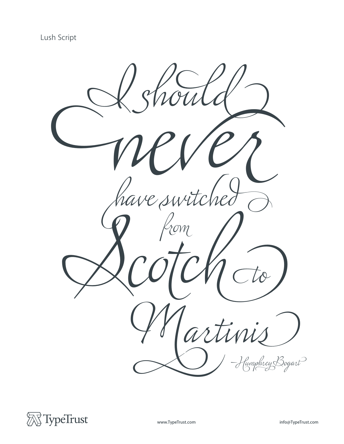![](_page_5_Picture_1.jpeg)

![](_page_5_Picture_2.jpeg)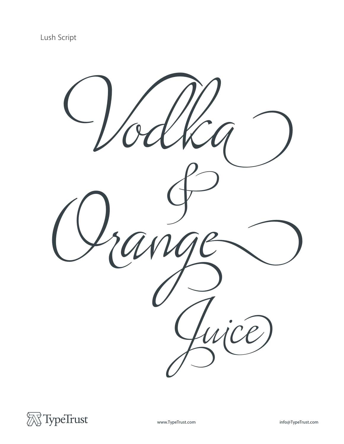![](_page_6_Picture_1.jpeg)

![](_page_6_Picture_2.jpeg)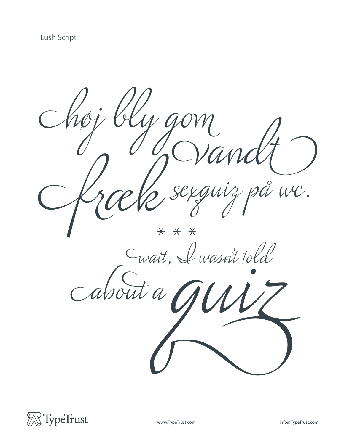$\bullet$ L WC. egui.  $\overline{\mathcal{S}}$  $\overline{\star}$  $\overline{\mathsf{X}}$  $\overline{\star}$ Cwait, I wasn't told

![](_page_7_Picture_2.jpeg)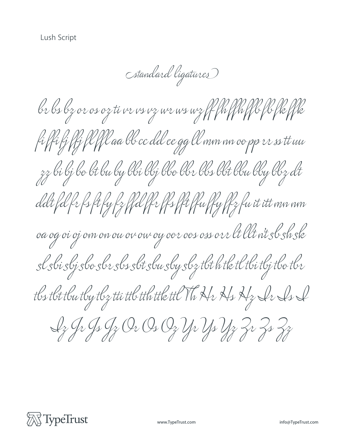(standard ligatures)

br bs bz or os oz ti vr vs vz wr ws wz ff fu ffu ff f f f f f f k fi ffi fj ffi fl ffl aa be ee dd ee gg ll mm un oo pp ee ss tt uu zz bi bj bo bt bu by bbi bbj bbo bbr bbs bbt bbu bby bbz dt ddt fd fr fs ft fy fz ffd ffr ffs fft ffu ffy ffz fu it itt mn nm oa og oi oj ovn on ou ou ou oy oer oes oss orr lt llt vit sl sh sk sl sbi sbj sbo sbr sbs sbt sbu sby sbz tbt h tk tl tbi tbj tbo tbr tls tlt tlu tly tlz tti ttl tth ttk ttl Vh Hr Hs Hz Lr Ls L Ly Jr Js Jy Or Os Oz Yr Ys Yz Zr Zs Zz

![](_page_8_Picture_3.jpeg)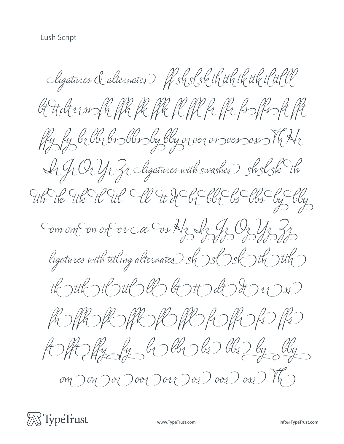Cligatures & alternates RSSS et th tth the the t G Hdt erssofh ffh fk ffk fl ffl fr ffr fsoffssft fft Ry by bibbi bis blissby bby or over os sovis oss Th Hr Ir Jr Or Yr Zr Cligatures with swashes Sh sl sk th the the the H the Ch the Hot Ch Ch Ch Chy Comom Conon Corca Cos Az Iz Gz Oz Uz 2z ligatures with titling alternates  $\mathcal{S}_{\mathcal{N}}$  of  $\mathcal{S}_{\mathcal{N}}$  of  $\mathcal{S}_{\mathcal{N}}$  of  $\mathcal{S}_{\mathcal{N}}$ th the stott of the tott of the word ROPPOROROPOROROPS A SHILLY by by by by  $om$  $on$  $O$  $oc$  $O$  $oc$  $O$  $oc$  $O$  $oc$  $O$  $oc$  $O$  $oc$  $O$  $oc$  $O$  $m$  $O$  $m$  $O$ 

![](_page_9_Picture_2.jpeg)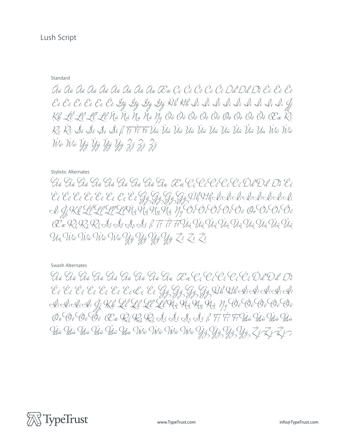## Standard

Áa Àa Âa Âa Åa Áa Áa Áa Âa Aa Œa Cc Ćc Ĉe Ĉe Če Ďd Đđ Đồ Će Ĉe Ĉe Čë Čē Čě Če Če Čě Žý Žý Žý Žý Hý Hh Ái Lì Lì Lì Lì Lì Lì Li Li Kk Lĺ Lĺ Ll' Ll Ña Ńá Ņụ Ňǎ Ŋy Óó Òò Ôô Öò Öò Ôo Ōo Ōō Ŏò Őô Œœ Ki R2 Ř2 Š5 Š5 Š3 Š3 Š5 K T, T T T T Ú ú Ù ù Ù ù Ù ũ Ù Ù Ù Ù Ù Ù Ù Ù Ù Ů Ũ Ú Ú Ù Ú Ù Ù Ù Wa Wir Ýý Ùỳ Ủg Ủy Źź Zi Zi

## **Stylistic Alternates**

Gá Gà Gà Gã Gà Gà Gã Gà Gà Ga Ca Cc Cc Cc Cc Cc Dd Dd Dồ Ce Si GKR LÍ LI LI LI HÃ MÃ MÃ Hý Ó O O O O O O O O O O O O O O Œ ŘER, ŘEŠS SS ŠŠ J T T T FOUG DI VIG TI VI VI TI VI VI VI Un Viva Viva Viva Vija Vig Vig Vija ZE ZE ZE

## Swash Alternates

Gá Gà Gà Gã Gå Gã Gã Gã Ga Ga Ca Cc Cc Cc Cc C C Dd Dd Do Éc Cè Cê Cê Cê Cê Cê Cê Cê Cê Go Go Go Go Rich Habeli di Ci di đi đi đi đi G Kk Lĺ Lĺ Lľ Ll Hà Hà Hu Hà y Gó Bò Gồ Gõ Do E E E E E CE CE DE DE DE SE SE SE SE E F F F HE Dú Dia Dia Ûû Îsu Îsu Ûi Ûi Ûi Ûi Qam Vikiv Vikiv Vikiv Yi Yi Yi Yi Yi Zi Zi Zi

![](_page_10_Picture_7.jpeg)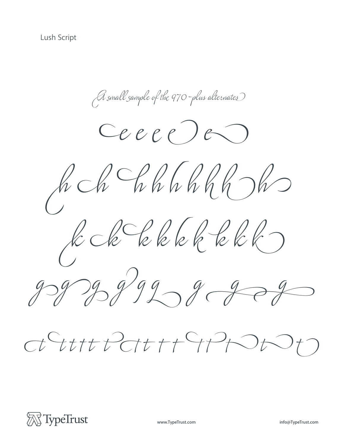*e e e e e* A small sample of the 970-plus alternates *h h h h h h h h h k k k k k k k k k g g g g g g g g g*

![](_page_11_Picture_2.jpeg)

![](_page_11_Picture_3.jpeg)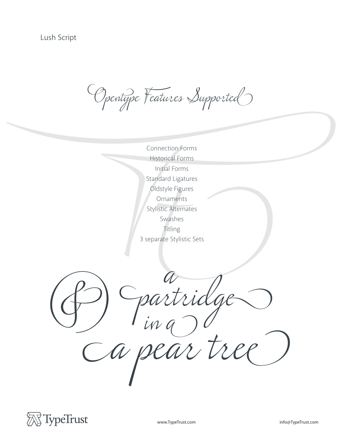Opentype Features Supported

Connection Forms<br>
Historical Forms<br>
Initial Forms<br>
Standard Ligatures<br>
Oldstyle Figures<br>
Ornaments<br>
Stylistic Alternates<br>
Swashes<br>
Titling<br>
3 separate Stylistic Se Historical Forms Initial Forms Standard Ligatures Oldstyle Figures Ornaments Stylistic Alternates Swashes Titling 3 separate Stylistic Sets

*a pear tree & partridge <sup>a</sup> in a*

![](_page_12_Picture_5.jpeg)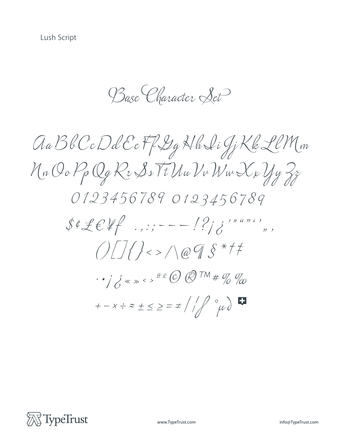Base Character Set

![](_page_13_Picture_2.jpeg)

![](_page_13_Picture_3.jpeg)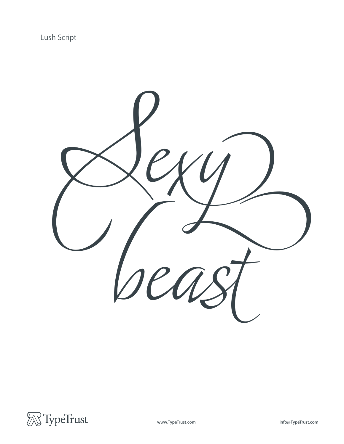![](_page_14_Picture_1.jpeg)

![](_page_14_Picture_2.jpeg)